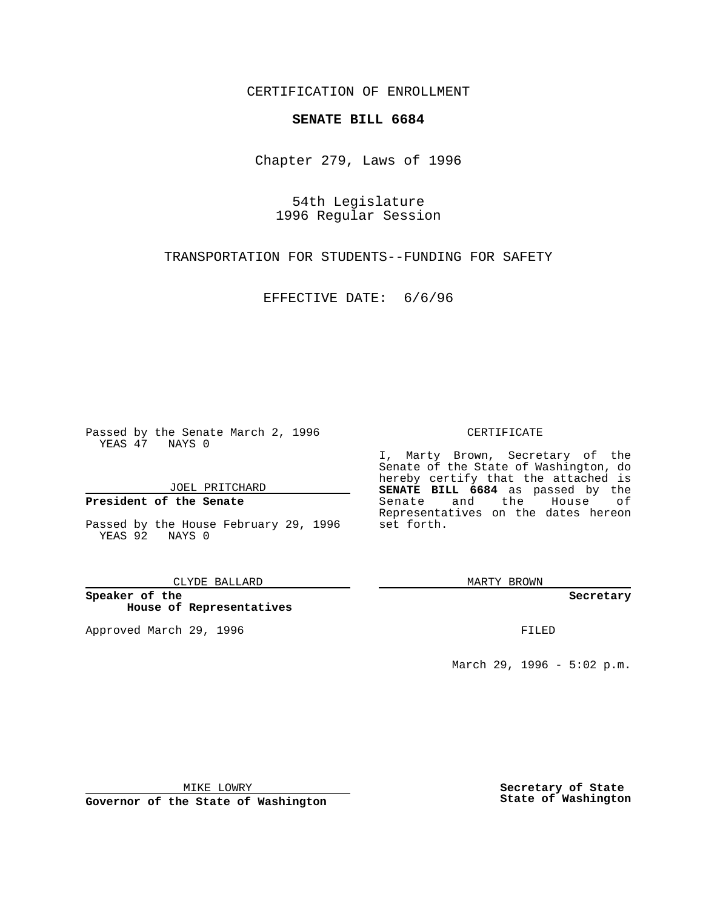CERTIFICATION OF ENROLLMENT

## **SENATE BILL 6684**

Chapter 279, Laws of 1996

54th Legislature 1996 Regular Session

TRANSPORTATION FOR STUDENTS--FUNDING FOR SAFETY

EFFECTIVE DATE: 6/6/96

Passed by the Senate March 2, 1996 YEAS 47 NAYS 0

JOEL PRITCHARD

**President of the Senate**

Passed by the House February 29, 1996 set forth. YEAS 92 NAYS 0

CLYDE BALLARD

**Speaker of the House of Representatives**

Approved March 29, 1996 **FILED** 

## CERTIFICATE

I, Marty Brown, Secretary of the Senate of the State of Washington, do hereby certify that the attached is **SENATE BILL 6684** as passed by the Senate and the House of Representatives on the dates hereon

MARTY BROWN

**Secretary**

March 29, 1996 - 5:02 p.m.

MIKE LOWRY

**Governor of the State of Washington**

**Secretary of State State of Washington**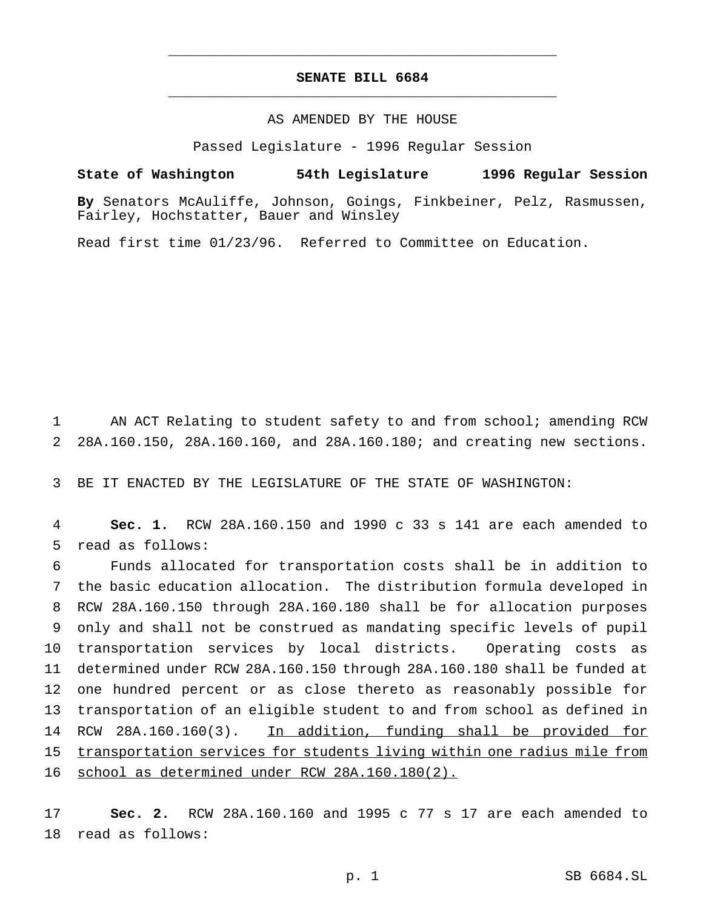## **SENATE BILL 6684** \_\_\_\_\_\_\_\_\_\_\_\_\_\_\_\_\_\_\_\_\_\_\_\_\_\_\_\_\_\_\_\_\_\_\_\_\_\_\_\_\_\_\_\_\_\_\_

\_\_\_\_\_\_\_\_\_\_\_\_\_\_\_\_\_\_\_\_\_\_\_\_\_\_\_\_\_\_\_\_\_\_\_\_\_\_\_\_\_\_\_\_\_\_\_

## AS AMENDED BY THE HOUSE

Passed Legislature - 1996 Regular Session

**State of Washington 54th Legislature 1996 Regular Session**

**By** Senators McAuliffe, Johnson, Goings, Finkbeiner, Pelz, Rasmussen, Fairley, Hochstatter, Bauer and Winsley

Read first time 01/23/96. Referred to Committee on Education.

1 AN ACT Relating to student safety to and from school; amending RCW 2 28A.160.150, 28A.160.160, and 28A.160.180; and creating new sections.

3 BE IT ENACTED BY THE LEGISLATURE OF THE STATE OF WASHINGTON:

4 **Sec. 1.** RCW 28A.160.150 and 1990 c 33 s 141 are each amended to 5 read as follows:

 Funds allocated for transportation costs shall be in addition to the basic education allocation. The distribution formula developed in RCW 28A.160.150 through 28A.160.180 shall be for allocation purposes only and shall not be construed as mandating specific levels of pupil transportation services by local districts. Operating costs as determined under RCW 28A.160.150 through 28A.160.180 shall be funded at one hundred percent or as close thereto as reasonably possible for transportation of an eligible student to and from school as defined in 14 RCW 28A.160.160(3). In addition, funding shall be provided for transportation services for students living within one radius mile from 16 school as determined under RCW 28A.160.180(2).

17 **Sec. 2.** RCW 28A.160.160 and 1995 c 77 s 17 are each amended to 18 read as follows: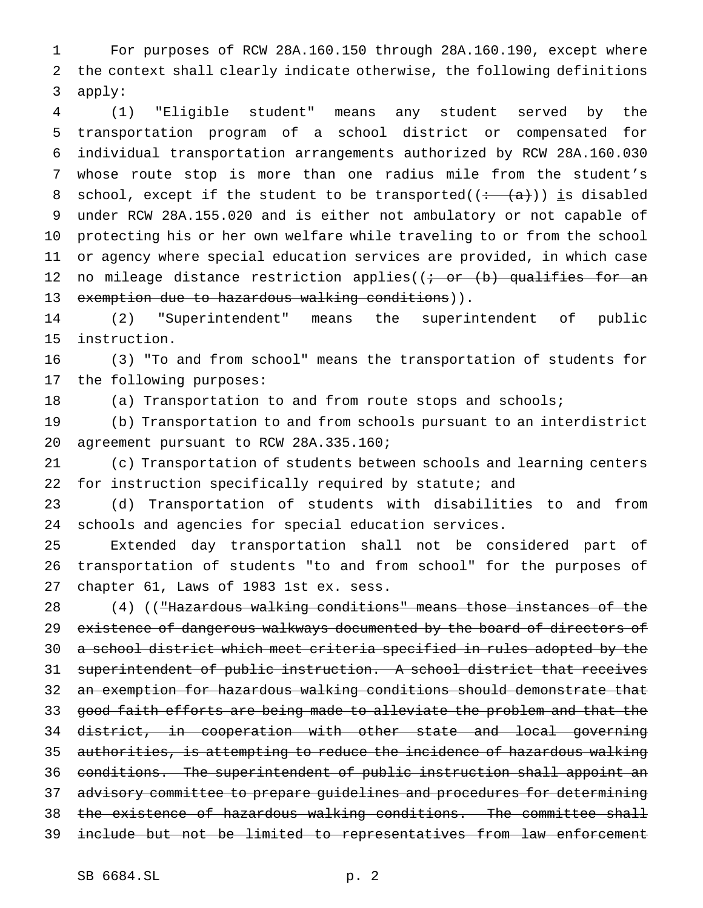For purposes of RCW 28A.160.150 through 28A.160.190, except where the context shall clearly indicate otherwise, the following definitions apply:

 (1) "Eligible student" means any student served by the transportation program of a school district or compensated for individual transportation arrangements authorized by RCW 28A.160.030 whose route stop is more than one radius mile from the student's 8 school, except if the student to be transported( $(+ \langle a \rangle)$ ) is disabled under RCW 28A.155.020 and is either not ambulatory or not capable of protecting his or her own welfare while traveling to or from the school or agency where special education services are provided, in which case 12 no mileage distance restriction applies( $(i - or (b)$  qualifies for an 13 exemption due to hazardous walking conditions)).

 (2) "Superintendent" means the superintendent of public instruction.

 (3) "To and from school" means the transportation of students for the following purposes:

(a) Transportation to and from route stops and schools;

 (b) Transportation to and from schools pursuant to an interdistrict agreement pursuant to RCW 28A.335.160;

 (c) Transportation of students between schools and learning centers for instruction specifically required by statute; and

 (d) Transportation of students with disabilities to and from schools and agencies for special education services.

 Extended day transportation shall not be considered part of transportation of students "to and from school" for the purposes of chapter 61, Laws of 1983 1st ex. sess.

 (4) (("Hazardous walking conditions" means those instances of the 29 existence of dangerous walkways documented by the board of directors of a school district which meet criteria specified in rules adopted by the superintendent of public instruction. A school district that receives 32 an exemption for hazardous walking conditions should demonstrate that good faith efforts are being made to alleviate the problem and that the district, in cooperation with other state and local governing authorities, is attempting to reduce the incidence of hazardous walking conditions. The superintendent of public instruction shall appoint an advisory committee to prepare guidelines and procedures for determining 38 the existence of hazardous walking conditions. The committee shall include but not be limited to representatives from law enforcement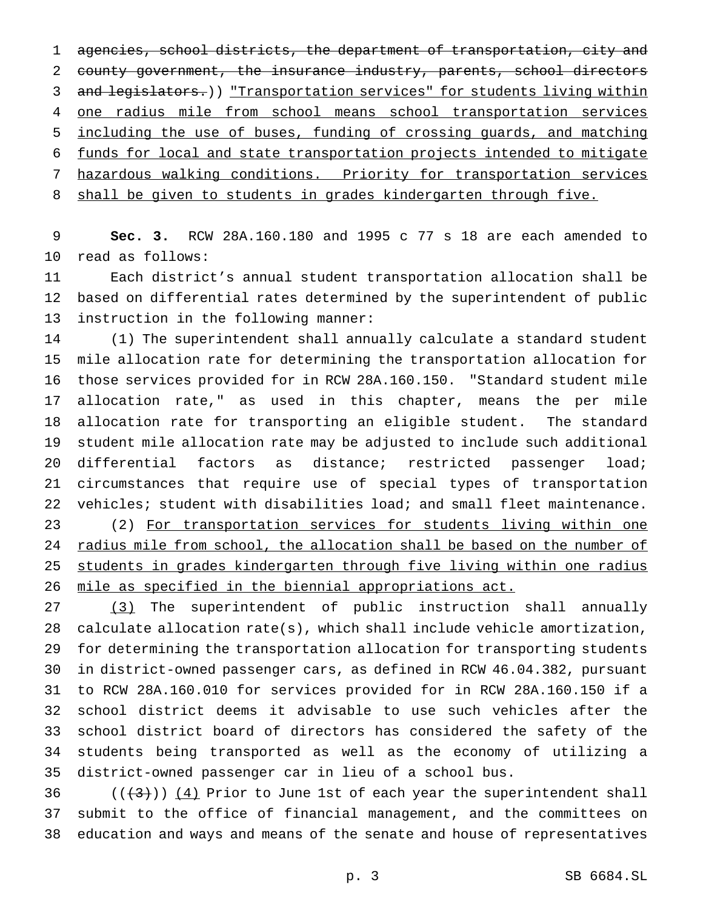agencies, school districts, the department of transportation, city and county government, the insurance industry, parents, school directors 3 and legislators.)) "Transportation services" for students living within one radius mile from school means school transportation services including the use of buses, funding of crossing guards, and matching funds for local and state transportation projects intended to mitigate hazardous walking conditions. Priority for transportation services 8 shall be given to students in grades kindergarten through five.

 **Sec. 3.** RCW 28A.160.180 and 1995 c 77 s 18 are each amended to read as follows:

 Each district's annual student transportation allocation shall be based on differential rates determined by the superintendent of public instruction in the following manner:

 (1) The superintendent shall annually calculate a standard student mile allocation rate for determining the transportation allocation for those services provided for in RCW 28A.160.150. "Standard student mile allocation rate," as used in this chapter, means the per mile allocation rate for transporting an eligible student. The standard student mile allocation rate may be adjusted to include such additional differential factors as distance; restricted passenger load; circumstances that require use of special types of transportation vehicles; student with disabilities load; and small fleet maintenance. (2) For transportation services for students living within one 24 radius mile from school, the allocation shall be based on the number of students in grades kindergarten through five living within one radius mile as specified in the biennial appropriations act.

 (3) The superintendent of public instruction shall annually calculate allocation rate(s), which shall include vehicle amortization, for determining the transportation allocation for transporting students in district-owned passenger cars, as defined in RCW 46.04.382, pursuant to RCW 28A.160.010 for services provided for in RCW 28A.160.150 if a school district deems it advisable to use such vehicles after the school district board of directors has considered the safety of the students being transported as well as the economy of utilizing a district-owned passenger car in lieu of a school bus.

36  $((+3))$   $(4)$  Prior to June 1st of each year the superintendent shall submit to the office of financial management, and the committees on education and ways and means of the senate and house of representatives